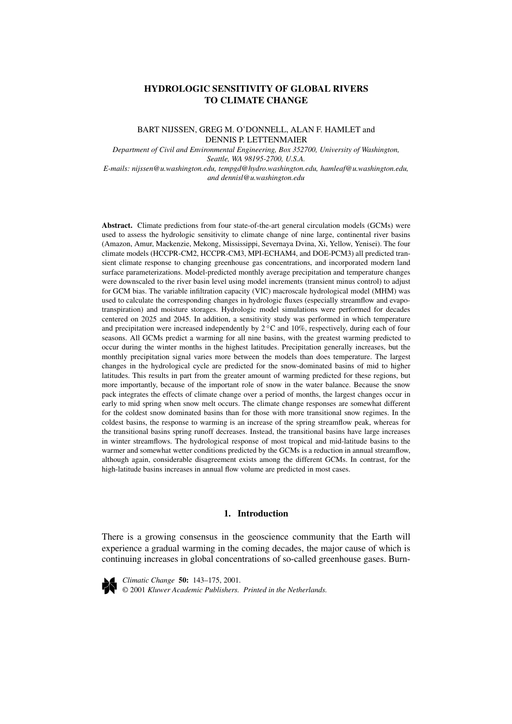# **HYDROLOGIC SENSITIVITY OF GLOBAL RIVERS TO CLIMATE CHANGE**

BART NIJSSEN, GREG M. O'DONNELL, ALAN F. HAMLET and DENNIS P. LETTENMAIER

*Department of Civil and Environmental Engineering, Box 352700, University of Washington, Seattle, WA 98195-2700, U.S.A. E-mails: nijssen@u.washington.edu, tempgd@hydro.washington.edu, hamleaf@u.washington.edu, and dennisl@u.washington.edu*

**Abstract.** Climate predictions from four state-of-the-art general circulation models (GCMs) were used to assess the hydrologic sensitivity to climate change of nine large, continental river basins (Amazon, Amur, Mackenzie, Mekong, Mississippi, Severnaya Dvina, Xi, Yellow, Yenisei). The four climate models (HCCPR-CM2, HCCPR-CM3, MPI-ECHAM4, and DOE-PCM3) all predicted transient climate response to changing greenhouse gas concentrations, and incorporated modern land surface parameterizations. Model-predicted monthly average precipitation and temperature changes were downscaled to the river basin level using model increments (transient minus control) to adjust for GCM bias. The variable infiltration capacity (VIC) macroscale hydrological model (MHM) was used to calculate the corresponding changes in hydrologic fluxes (especially streamflow and evapotranspiration) and moisture storages. Hydrologic model simulations were performed for decades centered on 2025 and 2045. In addition, a sensitivity study was performed in which temperature and precipitation were increased independently by  $2^{\circ}$ C and  $10\%$ , respectively, during each of four seasons. All GCMs predict a warming for all nine basins, with the greatest warming predicted to occur during the winter months in the highest latitudes. Precipitation generally increases, but the monthly precipitation signal varies more between the models than does temperature. The largest changes in the hydrological cycle are predicted for the snow-dominated basins of mid to higher latitudes. This results in part from the greater amount of warming predicted for these regions, but more importantly, because of the important role of snow in the water balance. Because the snow pack integrates the effects of climate change over a period of months, the largest changes occur in early to mid spring when snow melt occurs. The climate change responses are somewhat different for the coldest snow dominated basins than for those with more transitional snow regimes. In the coldest basins, the response to warming is an increase of the spring streamflow peak, whereas for the transitional basins spring runoff decreases. Instead, the transitional basins have large increases in winter streamflows. The hydrological response of most tropical and mid-latitude basins to the warmer and somewhat wetter conditions predicted by the GCMs is a reduction in annual streamflow, although again, considerable disagreement exists among the different GCMs. In contrast, for the high-latitude basins increases in annual flow volume are predicted in most cases.

### **1. Introduction**

There is a growing consensus in the geoscience community that the Earth will experience a gradual warming in the coming decades, the major cause of which is continuing increases in global concentrations of so-called greenhouse gases. Burn-



*Climatic Change* **50:** 143–175, 2001. © 2001 *Kluwer Academic Publishers. Printed in the Netherlands.*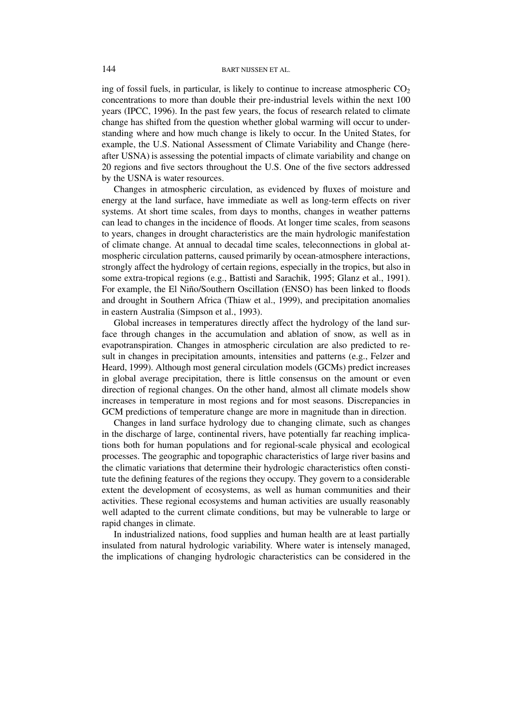ing of fossil fuels, in particular, is likely to continue to increase atmospheric  $CO<sub>2</sub>$ concentrations to more than double their pre-industrial levels within the next 100 years (IPCC, 1996). In the past few years, the focus of research related to climate change has shifted from the question whether global warming will occur to understanding where and how much change is likely to occur. In the United States, for example, the U.S. National Assessment of Climate Variability and Change (hereafter USNA) is assessing the potential impacts of climate variability and change on 20 regions and five sectors throughout the U.S. One of the five sectors addressed by the USNA is water resources.

Changes in atmospheric circulation, as evidenced by fluxes of moisture and energy at the land surface, have immediate as well as long-term effects on river systems. At short time scales, from days to months, changes in weather patterns can lead to changes in the incidence of floods. At longer time scales, from seasons to years, changes in drought characteristics are the main hydrologic manifestation of climate change. At annual to decadal time scales, teleconnections in global atmospheric circulation patterns, caused primarily by ocean-atmosphere interactions, strongly affect the hydrology of certain regions, especially in the tropics, but also in some extra-tropical regions (e.g., Battisti and Sarachik, 1995; Glanz et al., 1991). For example, the El Niño/Southern Oscillation (ENSO) has been linked to floods and drought in Southern Africa (Thiaw et al., 1999), and precipitation anomalies in eastern Australia (Simpson et al., 1993).

Global increases in temperatures directly affect the hydrology of the land surface through changes in the accumulation and ablation of snow, as well as in evapotranspiration. Changes in atmospheric circulation are also predicted to result in changes in precipitation amounts, intensities and patterns (e.g., Felzer and Heard, 1999). Although most general circulation models (GCMs) predict increases in global average precipitation, there is little consensus on the amount or even direction of regional changes. On the other hand, almost all climate models show increases in temperature in most regions and for most seasons. Discrepancies in GCM predictions of temperature change are more in magnitude than in direction.

Changes in land surface hydrology due to changing climate, such as changes in the discharge of large, continental rivers, have potentially far reaching implications both for human populations and for regional-scale physical and ecological processes. The geographic and topographic characteristics of large river basins and the climatic variations that determine their hydrologic characteristics often constitute the defining features of the regions they occupy. They govern to a considerable extent the development of ecosystems, as well as human communities and their activities. These regional ecosystems and human activities are usually reasonably well adapted to the current climate conditions, but may be vulnerable to large or rapid changes in climate.

In industrialized nations, food supplies and human health are at least partially insulated from natural hydrologic variability. Where water is intensely managed, the implications of changing hydrologic characteristics can be considered in the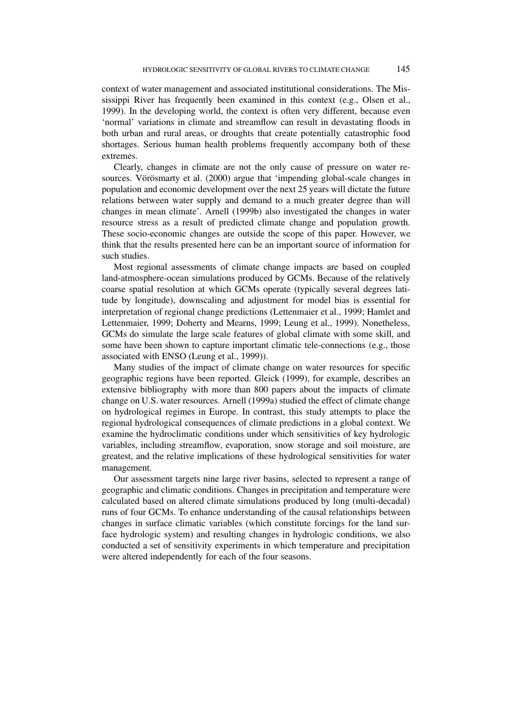context of water management and associated institutional considerations. The Mississippi River has frequently been examined in this context (e.g., Olsen et al., 1999). In the developing world, the context is often very different, because even 'normal' variations in climate and streamflow can result in devastating floods in both urban and rural areas, or droughts that create potentially catastrophic food shortages. Serious human health problems frequently accompany both of these extremes.

Clearly, changes in climate are not the only cause of pressure on water resources. Vörösmarty et al. (2000) argue that 'impending global-scale changes in population and economic development over the next 25 years will dictate the future relations between water supply and demand to a much greater degree than will changes in mean climate'. Arnell (1999b) also investigated the changes in water resource stress as a result of predicted climate change and population growth. These socio-economic changes are outside the scope of this paper. However, we think that the results presented here can be an important source of information for such studies.

Most regional assessments of climate change impacts are based on coupled land-atmosphere-ocean simulations produced by GCMs. Because of the relatively coarse spatial resolution at which GCMs operate (typically several degrees latitude by longitude), downscaling and adjustment for model bias is essential for interpretation of regional change predictions (Lettenmaier et al., 1999; Hamlet and Lettenmaier, 1999; Doherty and Mearns, 1999; Leung et al., 1999). Nonetheless, GCMs do simulate the large scale features of global climate with some skill, and some have been shown to capture important climatic tele-connections (e.g., those associated with ENSO (Leung et al., 1999)).

Many studies of the impact of climate change on water resources for specific geographic regions have been reported. Gleick (1999), for example, describes an extensive bibliography with more than 800 papers about the impacts of climate change on U.S. water resources. Arnell (1999a) studied the effect of climate change on hydrological regimes in Europe. In contrast, this study attempts to place the regional hydrological consequences of climate predictions in a global context. We examine the hydroclimatic conditions under which sensitivities of key hydrologic variables, including streamflow, evaporation, snow storage and soil moisture, are greatest, and the relative implications of these hydrological sensitivities for water management.

Our assessment targets nine large river basins, selected to represent a range of geographic and climatic conditions. Changes in precipitation and temperature were calculated based on altered climate simulations produced by long (multi-decadal) runs of four GCMs. To enhance understanding of the causal relationships between changes in surface climatic variables (which constitute forcings for the land surface hydrologic system) and resulting changes in hydrologic conditions, we also conducted a set of sensitivity experiments in which temperature and precipitation were altered independently for each of the four seasons.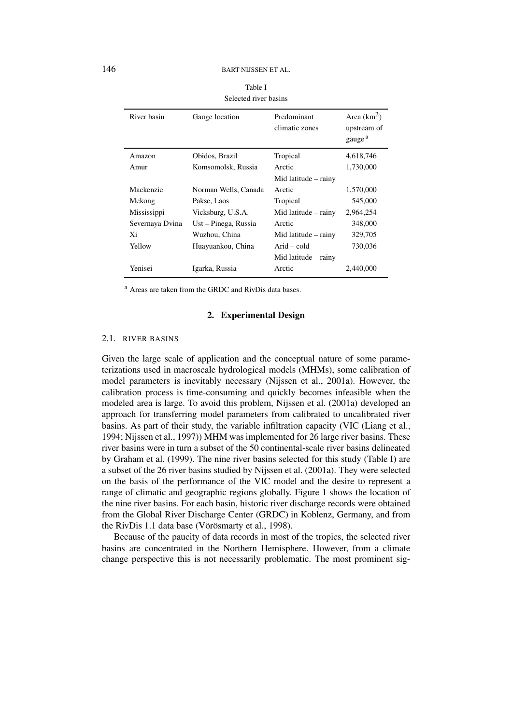#### 146 BART NIJSSEN ET AL.

| OCICLICII HVCH DANIIN |                      |                               |                                                    |  |  |  |  |
|-----------------------|----------------------|-------------------------------|----------------------------------------------------|--|--|--|--|
| River basin           | Gauge location       | Predominant<br>climatic zones | Area $(km^2)$<br>upstream of<br>gauge <sup>a</sup> |  |  |  |  |
| Amazon                | Obidos, Brazil       | Tropical                      | 4,618,746                                          |  |  |  |  |
| Amur                  | Komsomolsk, Russia   | Arctic                        | 1,730,000                                          |  |  |  |  |
|                       |                      | Mid latitude – rainy          |                                                    |  |  |  |  |
| Mackenzie             | Norman Wells, Canada | Arctic                        | 1,570,000                                          |  |  |  |  |
| Mekong                | Pakse, Laos          | Tropical                      | 545,000                                            |  |  |  |  |
| Mississippi           | Vicksburg, U.S.A.    | Mid latitude – rainy          | 2,964,254                                          |  |  |  |  |
| Severnaya Dvina       | Ust – Pinega, Russia | Arctic                        | 348,000                                            |  |  |  |  |
| Xi                    | Wuzhou, China        | Mid latitude – rainy          | 329,705                                            |  |  |  |  |
| Yellow                | Huayuankou, China    | Arid – cold                   | 730,036                                            |  |  |  |  |
|                       |                      | Mid latitude – rainy          |                                                    |  |  |  |  |
| Yenisei               | Igarka, Russia       | Arctic                        | 2,440,000                                          |  |  |  |  |

#### Table I Selected river basins

<sup>a</sup> Areas are taken from the GRDC and RivDis data bases.

## **2. Experimental Design**

## 2.1. RIVER BASINS

Given the large scale of application and the conceptual nature of some parameterizations used in macroscale hydrological models (MHMs), some calibration of model parameters is inevitably necessary (Nijssen et al., 2001a). However, the calibration process is time-consuming and quickly becomes infeasible when the modeled area is large. To avoid this problem, Nijssen et al. (2001a) developed an approach for transferring model parameters from calibrated to uncalibrated river basins. As part of their study, the variable infiltration capacity (VIC (Liang et al., 1994; Nijssen et al., 1997)) MHM was implemented for 26 large river basins. These river basins were in turn a subset of the 50 continental-scale river basins delineated by Graham et al. (1999). The nine river basins selected for this study (Table I) are a subset of the 26 river basins studied by Nijssen et al. (2001a). They were selected on the basis of the performance of the VIC model and the desire to represent a range of climatic and geographic regions globally. Figure 1 shows the location of the nine river basins. For each basin, historic river discharge records were obtained from the Global River Discharge Center (GRDC) in Koblenz, Germany, and from the RivDis 1.1 data base (Vörösmarty et al., 1998).

Because of the paucity of data records in most of the tropics, the selected river basins are concentrated in the Northern Hemisphere. However, from a climate change perspective this is not necessarily problematic. The most prominent sig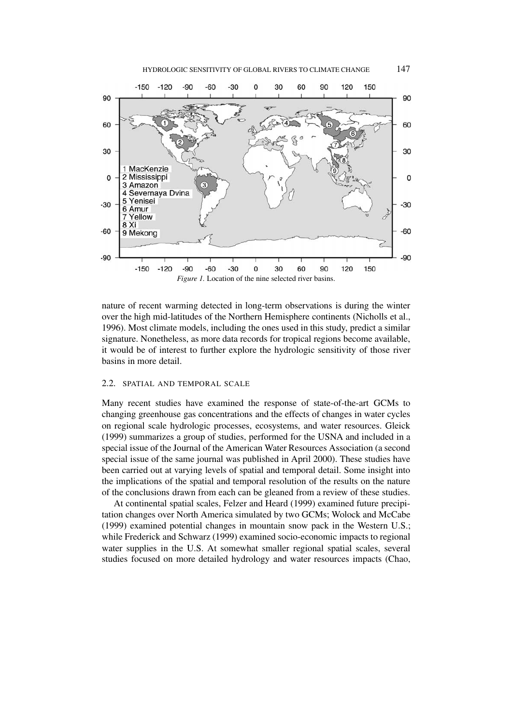HYDROLOGIC SENSITIVITY OF GLOBAL RIVERS TO CLIMATE CHANGE 147



nature of recent warming detected in long-term observations is during the winter over the high mid-latitudes of the Northern Hemisphere continents (Nicholls et al., 1996). Most climate models, including the ones used in this study, predict a similar signature. Nonetheless, as more data records for tropical regions become available, it would be of interest to further explore the hydrologic sensitivity of those river basins in more detail.

## 2.2. SPATIAL AND TEMPORAL SCALE

Many recent studies have examined the response of state-of-the-art GCMs to changing greenhouse gas concentrations and the effects of changes in water cycles on regional scale hydrologic processes, ecosystems, and water resources. Gleick (1999) summarizes a group of studies, performed for the USNA and included in a special issue of the Journal of the American Water Resources Association (a second special issue of the same journal was published in April 2000). These studies have been carried out at varying levels of spatial and temporal detail. Some insight into the implications of the spatial and temporal resolution of the results on the nature of the conclusions drawn from each can be gleaned from a review of these studies.

At continental spatial scales, Felzer and Heard (1999) examined future precipitation changes over North America simulated by two GCMs; Wolock and McCabe (1999) examined potential changes in mountain snow pack in the Western U.S.; while Frederick and Schwarz (1999) examined socio-economic impacts to regional water supplies in the U.S. At somewhat smaller regional spatial scales, several studies focused on more detailed hydrology and water resources impacts (Chao,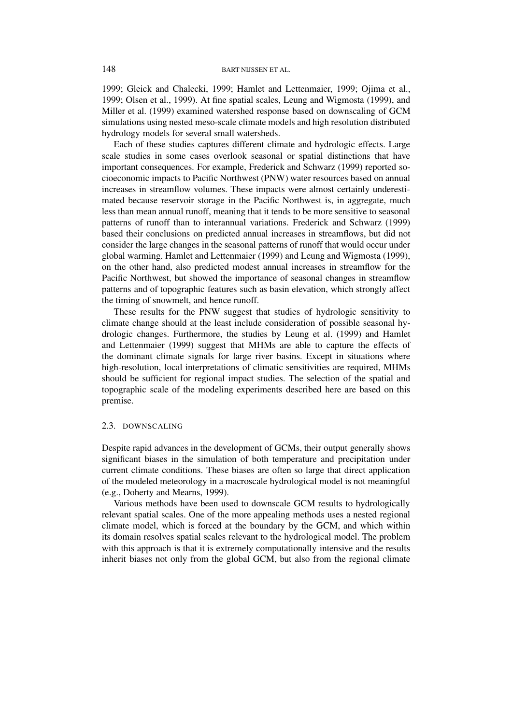1999; Gleick and Chalecki, 1999; Hamlet and Lettenmaier, 1999; Ojima et al., 1999; Olsen et al., 1999). At fine spatial scales, Leung and Wigmosta (1999), and Miller et al. (1999) examined watershed response based on downscaling of GCM simulations using nested meso-scale climate models and high resolution distributed hydrology models for several small watersheds.

Each of these studies captures different climate and hydrologic effects. Large scale studies in some cases overlook seasonal or spatial distinctions that have important consequences. For example, Frederick and Schwarz (1999) reported socioeconomic impacts to Pacific Northwest (PNW) water resources based on annual increases in streamflow volumes. These impacts were almost certainly underestimated because reservoir storage in the Pacific Northwest is, in aggregate, much less than mean annual runoff, meaning that it tends to be more sensitive to seasonal patterns of runoff than to interannual variations. Frederick and Schwarz (1999) based their conclusions on predicted annual increases in streamflows, but did not consider the large changes in the seasonal patterns of runoff that would occur under global warming. Hamlet and Lettenmaier (1999) and Leung and Wigmosta (1999), on the other hand, also predicted modest annual increases in streamflow for the Pacific Northwest, but showed the importance of seasonal changes in streamflow patterns and of topographic features such as basin elevation, which strongly affect the timing of snowmelt, and hence runoff.

These results for the PNW suggest that studies of hydrologic sensitivity to climate change should at the least include consideration of possible seasonal hydrologic changes. Furthermore, the studies by Leung et al. (1999) and Hamlet and Lettenmaier (1999) suggest that MHMs are able to capture the effects of the dominant climate signals for large river basins. Except in situations where high-resolution, local interpretations of climatic sensitivities are required, MHMs should be sufficient for regional impact studies. The selection of the spatial and topographic scale of the modeling experiments described here are based on this premise.

#### 2.3. DOWNSCALING

Despite rapid advances in the development of GCMs, their output generally shows significant biases in the simulation of both temperature and precipitation under current climate conditions. These biases are often so large that direct application of the modeled meteorology in a macroscale hydrological model is not meaningful (e.g., Doherty and Mearns, 1999).

Various methods have been used to downscale GCM results to hydrologically relevant spatial scales. One of the more appealing methods uses a nested regional climate model, which is forced at the boundary by the GCM, and which within its domain resolves spatial scales relevant to the hydrological model. The problem with this approach is that it is extremely computationally intensive and the results inherit biases not only from the global GCM, but also from the regional climate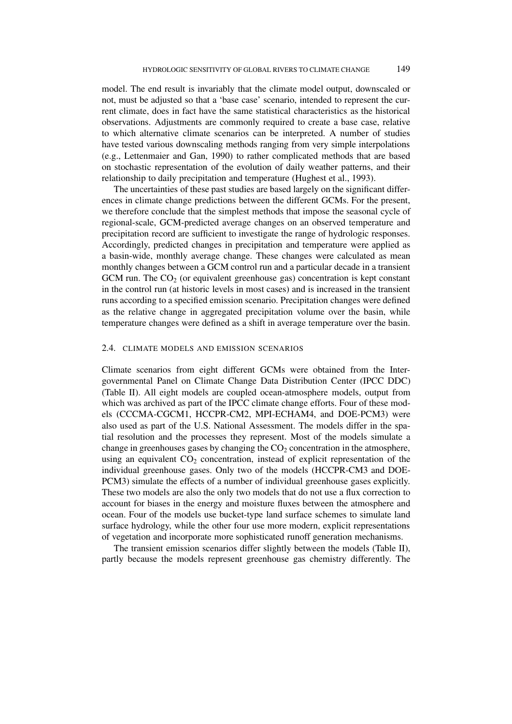model. The end result is invariably that the climate model output, downscaled or not, must be adjusted so that a 'base case' scenario, intended to represent the current climate, does in fact have the same statistical characteristics as the historical observations. Adjustments are commonly required to create a base case, relative to which alternative climate scenarios can be interpreted. A number of studies have tested various downscaling methods ranging from very simple interpolations (e.g., Lettenmaier and Gan, 1990) to rather complicated methods that are based on stochastic representation of the evolution of daily weather patterns, and their relationship to daily precipitation and temperature (Hughest et al., 1993).

The uncertainties of these past studies are based largely on the significant differences in climate change predictions between the different GCMs. For the present, we therefore conclude that the simplest methods that impose the seasonal cycle of regional-scale, GCM-predicted average changes on an observed temperature and precipitation record are sufficient to investigate the range of hydrologic responses. Accordingly, predicted changes in precipitation and temperature were applied as a basin-wide, monthly average change. These changes were calculated as mean monthly changes between a GCM control run and a particular decade in a transient GCM run. The  $CO<sub>2</sub>$  (or equivalent greenhouse gas) concentration is kept constant in the control run (at historic levels in most cases) and is increased in the transient runs according to a specified emission scenario. Precipitation changes were defined as the relative change in aggregated precipitation volume over the basin, while temperature changes were defined as a shift in average temperature over the basin.

### 2.4. CLIMATE MODELS AND EMISSION SCENARIOS

Climate scenarios from eight different GCMs were obtained from the Intergovernmental Panel on Climate Change Data Distribution Center (IPCC DDC) (Table II). All eight models are coupled ocean-atmosphere models, output from which was archived as part of the IPCC climate change efforts. Four of these models (CCCMA-CGCM1, HCCPR-CM2, MPI-ECHAM4, and DOE-PCM3) were also used as part of the U.S. National Assessment. The models differ in the spatial resolution and the processes they represent. Most of the models simulate a change in greenhouses gases by changing the  $CO<sub>2</sub>$  concentration in the atmosphere, using an equivalent  $CO<sub>2</sub>$  concentration, instead of explicit representation of the individual greenhouse gases. Only two of the models (HCCPR-CM3 and DOE-PCM3) simulate the effects of a number of individual greenhouse gases explicitly. These two models are also the only two models that do not use a flux correction to account for biases in the energy and moisture fluxes between the atmosphere and ocean. Four of the models use bucket-type land surface schemes to simulate land surface hydrology, while the other four use more modern, explicit representations of vegetation and incorporate more sophisticated runoff generation mechanisms.

The transient emission scenarios differ slightly between the models (Table II), partly because the models represent greenhouse gas chemistry differently. The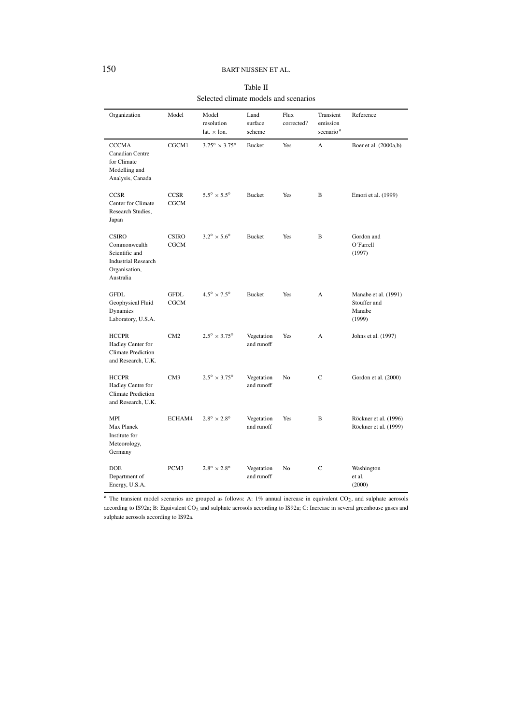# 150 BART NIJSSEN ET AL.

| anie |  |
|------|--|
|------|--|

# Selected climate models and scenarios

| Organization                                                                                               | Model                       | Model<br>resolution<br>lat. $\times$ lon. | Land<br>surface<br>scheme | Flux<br>corrected? | Transient<br>emission<br>scenario <sup>a</sup> | Reference                                                |
|------------------------------------------------------------------------------------------------------------|-----------------------------|-------------------------------------------|---------------------------|--------------------|------------------------------------------------|----------------------------------------------------------|
| <b>CCCMA</b><br>Canadian Centre<br>for Climate<br>Modelling and<br>Analysis, Canada                        | CGCM1                       | $3.75^{\circ} \times 3.75^{\circ}$        | <b>Bucket</b>             | Yes                | A                                              | Boer et al. (2000a,b)                                    |
| <b>CCSR</b><br>Center for Climate<br>Research Studies,<br>Japan                                            | <b>CCSR</b><br><b>CGCM</b>  | $5.5^{\circ} \times 5.5^{\circ}$          | Bucket                    | Yes                | B                                              | Emori et al. (1999)                                      |
| <b>CSIRO</b><br>Commonwealth<br>Scientific and<br><b>Industrial Research</b><br>Organisation,<br>Australia | <b>CSIRO</b><br><b>CGCM</b> | $3.2^\circ \times 5.6^\circ$              | <b>Bucket</b>             | Yes                | B                                              | Gordon and<br>O'Farrell<br>(1997)                        |
| <b>GFDL</b><br>Geophysical Fluid<br>Dynamics<br>Laboratory, U.S.A.                                         | <b>GFDL</b><br><b>CGCM</b>  | $4.5^{\circ} \times 7.5^{\circ}$          | <b>Bucket</b>             | Yes                | A                                              | Manabe et al. (1991)<br>Stouffer and<br>Manabe<br>(1999) |
| <b>HCCPR</b><br>Hadley Center for<br><b>Climate Prediction</b><br>and Research, U.K.                       | CM2                         | $2.5^{\circ} \times 3.75^{\circ}$         | Vegetation<br>and runoff  | Yes                | A                                              | Johns et al. (1997)                                      |
| <b>HCCPR</b><br>Hadley Centre for<br><b>Climate Prediction</b><br>and Research, U.K.                       | CM3                         | $2.5^{\circ} \times 3.75^{\circ}$         | Vegetation<br>and runoff  | No                 | C                                              | Gordon et al. (2000)                                     |
| <b>MPI</b><br>Max Planck<br>Institute for<br>Meteorology,<br>Germany                                       | ECHAM4                      | $2.8^{\circ} \times 2.8^{\circ}$          | Vegetation<br>and runoff  | Yes                | B                                              | Röckner et al. (1996)<br>Röckner et al. (1999)           |
| <b>DOE</b><br>Department of<br>Energy, U.S.A.                                                              | PCM3                        | $2.8^{\circ}\times2.8^{\circ}$            | Vegetation<br>and runoff  | No                 | $\mathbf C$                                    | Washington<br>et al.<br>(2000)                           |

<sup>a</sup> The transient model scenarios are grouped as follows: A:  $1\%$  annual increase in equivalent CO<sub>2</sub>, and sulphate aerosols according to IS92a; B: Equivalent CO<sub>2</sub> and sulphate aerosols according to IS92a; C: Increase in several greenhouse gases and sulphate aerosols according to IS92a.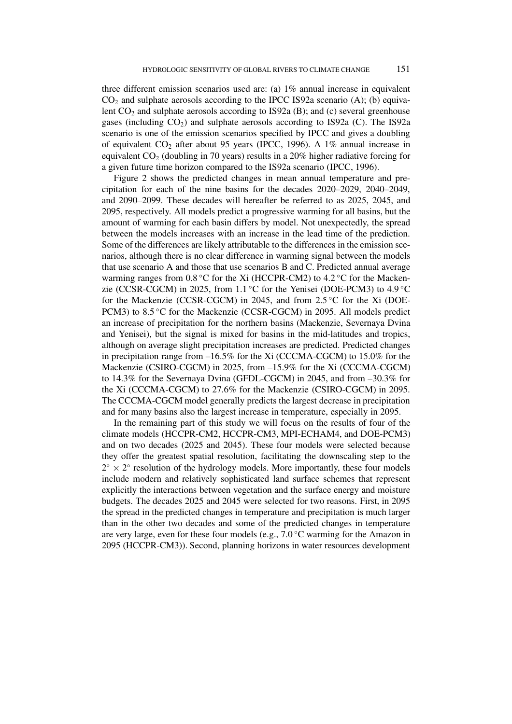three different emission scenarios used are: (a)  $1\%$  annual increase in equivalent  $CO<sub>2</sub>$  and sulphate aerosols according to the IPCC IS92a scenario (A); (b) equivalent  $CO<sub>2</sub>$  and sulphate aerosols according to IS92a (B); and (c) several greenhouse gases (including  $CO<sub>2</sub>$ ) and sulphate aerosols according to IS92a (C). The IS92a scenario is one of the emission scenarios specified by IPCC and gives a doubling of equivalent  $CO_2$  after about 95 years (IPCC, 1996). A 1% annual increase in equivalent  $CO<sub>2</sub>$  (doubling in 70 years) results in a 20% higher radiative forcing for a given future time horizon compared to the IS92a scenario (IPCC, 1996).

Figure 2 shows the predicted changes in mean annual temperature and precipitation for each of the nine basins for the decades 2020–2029, 2040–2049, and 2090–2099. These decades will hereafter be referred to as 2025, 2045, and 2095, respectively. All models predict a progressive warming for all basins, but the amount of warming for each basin differs by model. Not unexpectedly, the spread between the models increases with an increase in the lead time of the prediction. Some of the differences are likely attributable to the differences in the emission scenarios, although there is no clear difference in warming signal between the models that use scenario A and those that use scenarios B and C. Predicted annual average warming ranges from  $0.8 \degree$ C for the Xi (HCCPR-CM2) to  $4.2 \degree$ C for the Mackenzie (CCSR-CGCM) in 2025, from 1.1 °C for the Yenisei (DOE-PCM3) to  $4.9\textdegree C$ for the Mackenzie (CCSR-CGCM) in 2045, and from 2.5 °C for the Xi (DOE-PCM3) to 8.5 °C for the Mackenzie (CCSR-CGCM) in 2095. All models predict an increase of precipitation for the northern basins (Mackenzie, Severnaya Dvina and Yenisei), but the signal is mixed for basins in the mid-latitudes and tropics, although on average slight precipitation increases are predicted. Predicted changes in precipitation range from –16.5% for the Xi (CCCMA-CGCM) to 15.0% for the Mackenzie (CSIRO-CGCM) in 2025, from –15.9% for the Xi (CCCMA-CGCM) to 14.3% for the Severnaya Dvina (GFDL-CGCM) in 2045, and from –30.3% for the Xi (CCCMA-CGCM) to 27.6% for the Mackenzie (CSIRO-CGCM) in 2095. The CCCMA-CGCM model generally predicts the largest decrease in precipitation and for many basins also the largest increase in temperature, especially in 2095.

In the remaining part of this study we will focus on the results of four of the climate models (HCCPR-CM2, HCCPR-CM3, MPI-ECHAM4, and DOE-PCM3) and on two decades (2025 and 2045). These four models were selected because they offer the greatest spatial resolution, facilitating the downscaling step to the  $2^\circ \times 2^\circ$  resolution of the hydrology models. More importantly, these four models include modern and relatively sophisticated land surface schemes that represent explicitly the interactions between vegetation and the surface energy and moisture budgets. The decades 2025 and 2045 were selected for two reasons. First, in 2095 the spread in the predicted changes in temperature and precipitation is much larger than in the other two decades and some of the predicted changes in temperature are very large, even for these four models (e.g.,  $7.0\,^{\circ}\text{C}$  warming for the Amazon in 2095 (HCCPR-CM3)). Second, planning horizons in water resources development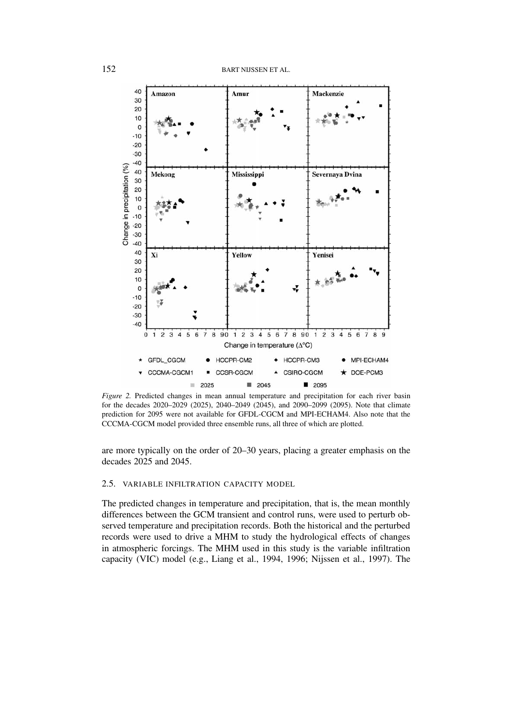

*Figure 2.* Predicted changes in mean annual temperature and precipitation for each river basin for the decades 2020–2029 (2025), 2040–2049 (2045), and 2090–2099 (2095). Note that climate prediction for 2095 were not available for GFDL-CGCM and MPI-ECHAM4. Also note that the CCCMA-CGCM model provided three ensemble runs, all three of which are plotted.

are more typically on the order of 20–30 years, placing a greater emphasis on the decades 2025 and 2045.

## 2.5. VARIABLE INFILTRATION CAPACITY MODEL

The predicted changes in temperature and precipitation, that is, the mean monthly differences between the GCM transient and control runs, were used to perturb observed temperature and precipitation records. Both the historical and the perturbed records were used to drive a MHM to study the hydrological effects of changes in atmospheric forcings. The MHM used in this study is the variable infiltration capacity (VIC) model (e.g., Liang et al., 1994, 1996; Nijssen et al., 1997). The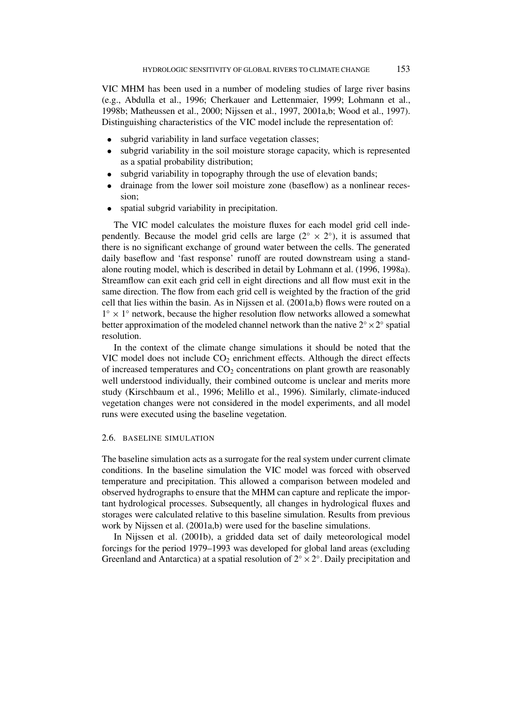VIC MHM has been used in a number of modeling studies of large river basins (e.g., Abdulla et al., 1996; Cherkauer and Lettenmaier, 1999; Lohmann et al., 1998b; Matheussen et al., 2000; Nijssen et al., 1997, 2001a,b; Wood et al., 1997). Distinguishing characteristics of the VIC model include the representation of:

- subgrid variability in land surface vegetation classes;
- subgrid variability in the soil moisture storage capacity, which is represented as a spatial probability distribution;
- subgrid variability in topography through the use of elevation bands;
- drainage from the lower soil moisture zone (baseflow) as a nonlinear recession;
- spatial subgrid variability in precipitation.

The VIC model calculates the moisture fluxes for each model grid cell independently. Because the model grid cells are large ( $2° \times 2°$ ), it is assumed that there is no significant exchange of ground water between the cells. The generated daily baseflow and 'fast response' runoff are routed downstream using a standalone routing model, which is described in detail by Lohmann et al. (1996, 1998a). Streamflow can exit each grid cell in eight directions and all flow must exit in the same direction. The flow from each grid cell is weighted by the fraction of the grid cell that lies within the basin. As in Nijssen et al. (2001a,b) flows were routed on a 1◦ × 1◦ network, because the higher resolution flow networks allowed a somewhat better approximation of the modeled channel network than the native  $2° \times 2°$  spatial resolution.

In the context of the climate change simulations it should be noted that the VIC model does not include  $CO<sub>2</sub>$  enrichment effects. Although the direct effects of increased temperatures and  $CO<sub>2</sub>$  concentrations on plant growth are reasonably well understood individually, their combined outcome is unclear and merits more study (Kirschbaum et al., 1996; Melillo et al., 1996). Similarly, climate-induced vegetation changes were not considered in the model experiments, and all model runs were executed using the baseline vegetation.

# 2.6. BASELINE SIMULATION

The baseline simulation acts as a surrogate for the real system under current climate conditions. In the baseline simulation the VIC model was forced with observed temperature and precipitation. This allowed a comparison between modeled and observed hydrographs to ensure that the MHM can capture and replicate the important hydrological processes. Subsequently, all changes in hydrological fluxes and storages were calculated relative to this baseline simulation. Results from previous work by Nijssen et al. (2001a,b) were used for the baseline simulations.

In Nijssen et al. (2001b), a gridded data set of daily meteorological model forcings for the period 1979–1993 was developed for global land areas (excluding Greenland and Antarctica) at a spatial resolution of  $2° \times 2°$ . Daily precipitation and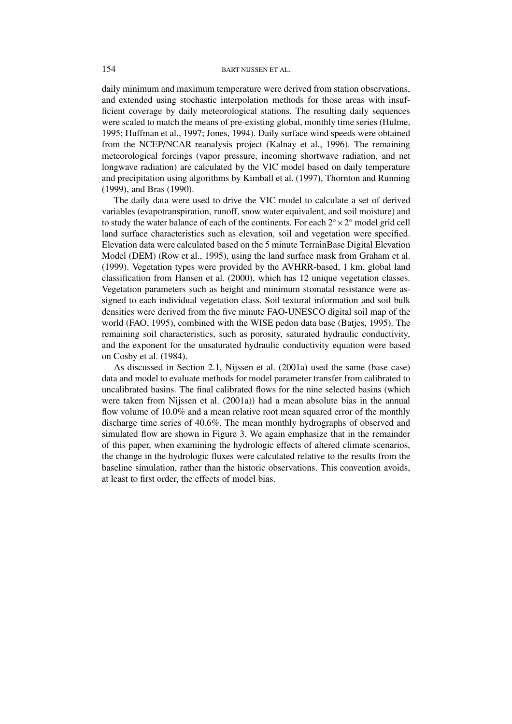daily minimum and maximum temperature were derived from station observations, and extended using stochastic interpolation methods for those areas with insufficient coverage by daily meteorological stations. The resulting daily sequences were scaled to match the means of pre-existing global, monthly time series (Hulme, 1995; Huffman et al., 1997; Jones, 1994). Daily surface wind speeds were obtained from the NCEP/NCAR reanalysis project (Kalnay et al., 1996). The remaining meteorological forcings (vapor pressure, incoming shortwave radiation, and net longwave radiation) are calculated by the VIC model based on daily temperature and precipitation using algorithms by Kimball et al. (1997), Thornton and Running (1999), and Bras (1990).

The daily data were used to drive the VIC model to calculate a set of derived variables (evapotranspiration, runoff, snow water equivalent, and soil moisture) and to study the water balance of each of the continents. For each  $2° \times 2°$  model grid cell land surface characteristics such as elevation, soil and vegetation were specified. Elevation data were calculated based on the 5 minute TerrainBase Digital Elevation Model (DEM) (Row et al., 1995), using the land surface mask from Graham et al. (1999). Vegetation types were provided by the AVHRR-based, 1 km, global land classification from Hansen et al. (2000), which has 12 unique vegetation classes. Vegetation parameters such as height and minimum stomatal resistance were assigned to each individual vegetation class. Soil textural information and soil bulk densities were derived from the five minute FAO-UNESCO digital soil map of the world (FAO, 1995), combined with the WISE pedon data base (Batjes, 1995). The remaining soil characteristics, such as porosity, saturated hydraulic conductivity, and the exponent for the unsaturated hydraulic conductivity equation were based on Cosby et al. (1984).

As discussed in Section 2.1, Nijssen et al. (2001a) used the same (base case) data and model to evaluate methods for model parameter transfer from calibrated to uncalibrated basins. The final calibrated flows for the nine selected basins (which were taken from Nijssen et al. (2001a)) had a mean absolute bias in the annual flow volume of 10.0% and a mean relative root mean squared error of the monthly discharge time series of 40.6%. The mean monthly hydrographs of observed and simulated flow are shown in Figure 3. We again emphasize that in the remainder of this paper, when examining the hydrologic effects of altered climate scenarios, the change in the hydrologic fluxes were calculated relative to the results from the baseline simulation, rather than the historic observations. This convention avoids, at least to first order, the effects of model bias.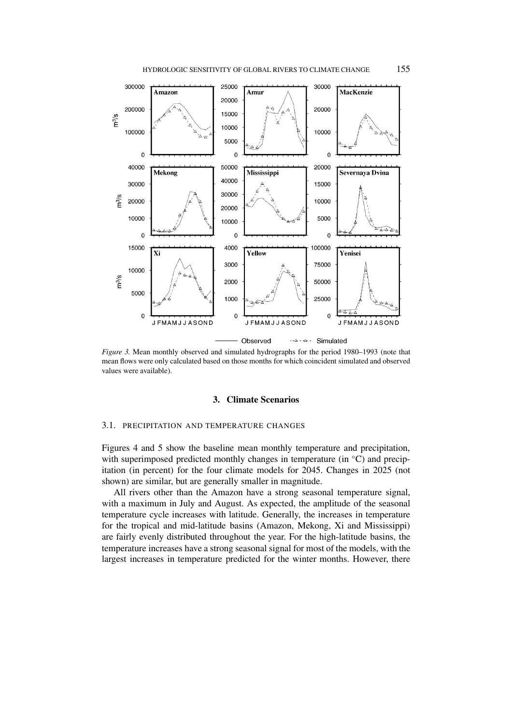

*Figure 3.* Mean monthly observed and simulated hydrographs for the period 1980–1993 (note that mean flows were only calculated based on those months for which coincident simulated and observed values were available).

### **3. Climate Scenarios**

## 3.1. PRECIPITATION AND TEMPERATURE CHANGES

Figures 4 and 5 show the baseline mean monthly temperature and precipitation, with superimposed predicted monthly changes in temperature (in  $°C$ ) and precipitation (in percent) for the four climate models for 2045. Changes in 2025 (not shown) are similar, but are generally smaller in magnitude.

All rivers other than the Amazon have a strong seasonal temperature signal, with a maximum in July and August. As expected, the amplitude of the seasonal temperature cycle increases with latitude. Generally, the increases in temperature for the tropical and mid-latitude basins (Amazon, Mekong, Xi and Mississippi) are fairly evenly distributed throughout the year. For the high-latitude basins, the temperature increases have a strong seasonal signal for most of the models, with the largest increases in temperature predicted for the winter months. However, there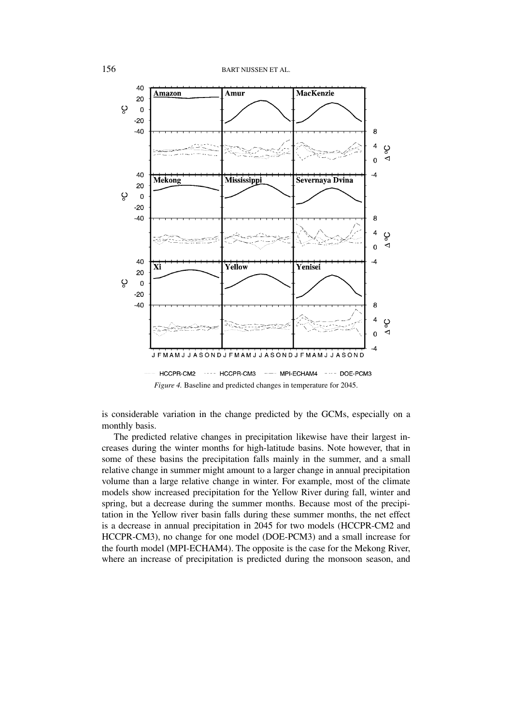156 BART NIJSSEN ET AL.



is considerable variation in the change predicted by the GCMs, especially on a monthly basis.

The predicted relative changes in precipitation likewise have their largest increases during the winter months for high-latitude basins. Note however, that in some of these basins the precipitation falls mainly in the summer, and a small relative change in summer might amount to a larger change in annual precipitation volume than a large relative change in winter. For example, most of the climate models show increased precipitation for the Yellow River during fall, winter and spring, but a decrease during the summer months. Because most of the precipitation in the Yellow river basin falls during these summer months, the net effect is a decrease in annual precipitation in 2045 for two models (HCCPR-CM2 and HCCPR-CM3), no change for one model (DOE-PCM3) and a small increase for the fourth model (MPI-ECHAM4). The opposite is the case for the Mekong River, where an increase of precipitation is predicted during the monsoon season, and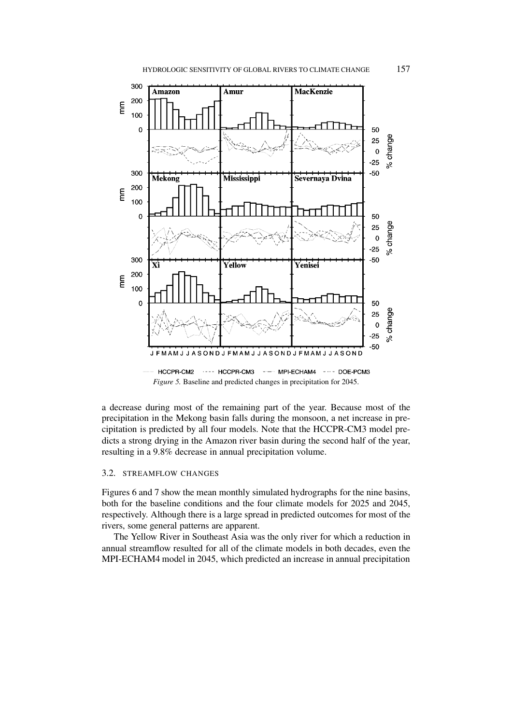

*Figure 5.* Baseline and predicted changes in precipitation for 2045.

a decrease during most of the remaining part of the year. Because most of the precipitation in the Mekong basin falls during the monsoon, a net increase in precipitation is predicted by all four models. Note that the HCCPR-CM3 model predicts a strong drying in the Amazon river basin during the second half of the year, resulting in a 9.8% decrease in annual precipitation volume.

# 3.2. STREAMFLOW CHANGES

Figures 6 and 7 show the mean monthly simulated hydrographs for the nine basins, both for the baseline conditions and the four climate models for 2025 and 2045, respectively. Although there is a large spread in predicted outcomes for most of the rivers, some general patterns are apparent.

The Yellow River in Southeast Asia was the only river for which a reduction in annual streamflow resulted for all of the climate models in both decades, even the MPI-ECHAM4 model in 2045, which predicted an increase in annual precipitation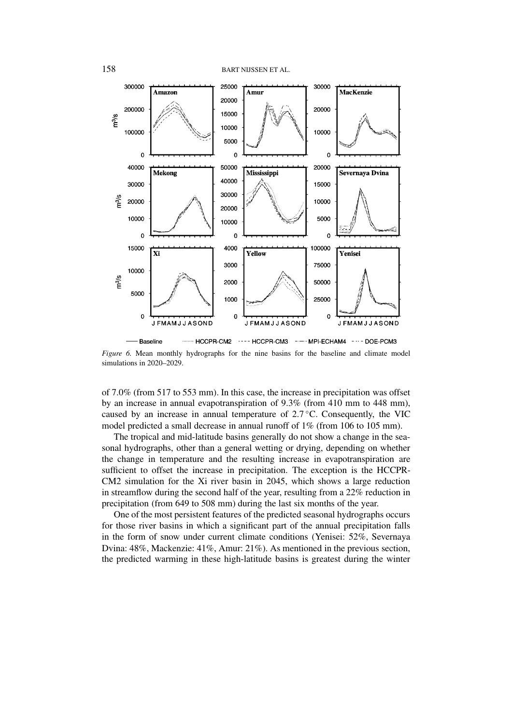

*Figure 6.* Mean monthly hydrographs for the nine basins for the baseline and climate model simulations in 2020–2029.

of 7.0% (from 517 to 553 mm). In this case, the increase in precipitation was offset by an increase in annual evapotranspiration of 9.3% (from 410 mm to 448 mm), caused by an increase in annual temperature of  $2.7 \degree$ C. Consequently, the VIC model predicted a small decrease in annual runoff of 1% (from 106 to 105 mm).

The tropical and mid-latitude basins generally do not show a change in the seasonal hydrographs, other than a general wetting or drying, depending on whether the change in temperature and the resulting increase in evapotranspiration are sufficient to offset the increase in precipitation. The exception is the HCCPR-CM2 simulation for the Xi river basin in 2045, which shows a large reduction in streamflow during the second half of the year, resulting from a 22% reduction in precipitation (from 649 to 508 mm) during the last six months of the year.

One of the most persistent features of the predicted seasonal hydrographs occurs for those river basins in which a significant part of the annual precipitation falls in the form of snow under current climate conditions (Yenisei: 52%, Severnaya Dvina: 48%, Mackenzie: 41%, Amur: 21%). As mentioned in the previous section, the predicted warming in these high-latitude basins is greatest during the winter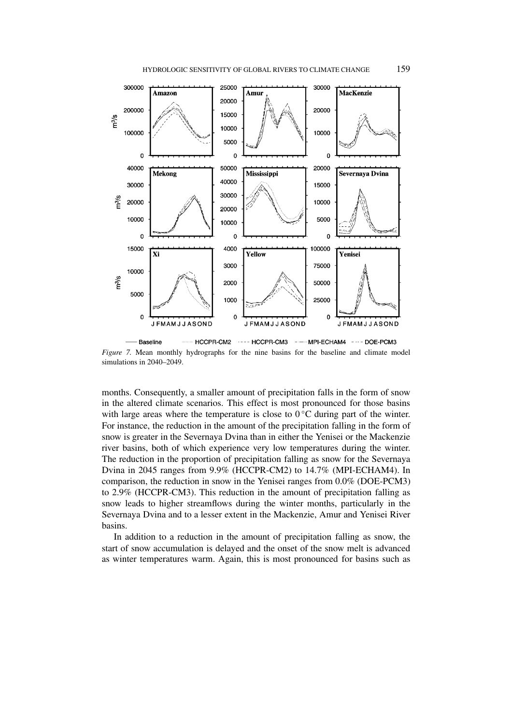

*Figure 7.* Mean monthly hydrographs for the nine basins for the baseline and climate model simulations in 2040–2049.

months. Consequently, a smaller amount of precipitation falls in the form of snow in the altered climate scenarios. This effect is most pronounced for those basins with large areas where the temperature is close to  $0^{\circ}$ C during part of the winter. For instance, the reduction in the amount of the precipitation falling in the form of snow is greater in the Severnaya Dvina than in either the Yenisei or the Mackenzie river basins, both of which experience very low temperatures during the winter. The reduction in the proportion of precipitation falling as snow for the Severnaya Dvina in 2045 ranges from 9.9% (HCCPR-CM2) to 14.7% (MPI-ECHAM4). In comparison, the reduction in snow in the Yenisei ranges from 0.0% (DOE-PCM3) to 2.9% (HCCPR-CM3). This reduction in the amount of precipitation falling as snow leads to higher streamflows during the winter months, particularly in the Severnaya Dvina and to a lesser extent in the Mackenzie, Amur and Yenisei River basins.

In addition to a reduction in the amount of precipitation falling as snow, the start of snow accumulation is delayed and the onset of the snow melt is advanced as winter temperatures warm. Again, this is most pronounced for basins such as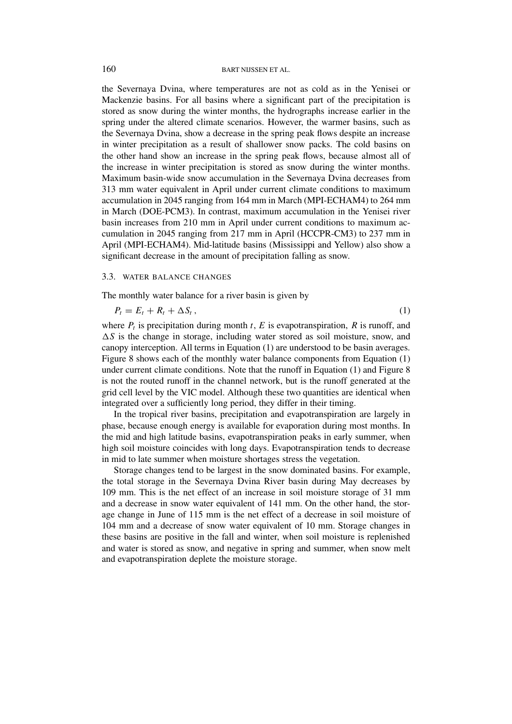the Severnaya Dvina, where temperatures are not as cold as in the Yenisei or Mackenzie basins. For all basins where a significant part of the precipitation is stored as snow during the winter months, the hydrographs increase earlier in the spring under the altered climate scenarios. However, the warmer basins, such as the Severnaya Dvina, show a decrease in the spring peak flows despite an increase in winter precipitation as a result of shallower snow packs. The cold basins on the other hand show an increase in the spring peak flows, because almost all of the increase in winter precipitation is stored as snow during the winter months. Maximum basin-wide snow accumulation in the Severnaya Dvina decreases from 313 mm water equivalent in April under current climate conditions to maximum accumulation in 2045 ranging from 164 mm in March (MPI-ECHAM4) to 264 mm in March (DOE-PCM3). In contrast, maximum accumulation in the Yenisei river basin increases from 210 mm in April under current conditions to maximum accumulation in 2045 ranging from 217 mm in April (HCCPR-CM3) to 237 mm in April (MPI-ECHAM4). Mid-latitude basins (Mississippi and Yellow) also show a significant decrease in the amount of precipitation falling as snow.

### 3.3. WATER BALANCE CHANGES

The monthly water balance for a river basin is given by

$$
P_t = E_t + R_t + \Delta S_t, \qquad (1)
$$

where  $P_t$  is precipitation during month  $t$ ,  $E$  is evapotranspiration,  $R$  is runoff, and  $\Delta S$  is the change in storage, including water stored as soil moisture, snow, and canopy interception. All terms in Equation (1) are understood to be basin averages. Figure 8 shows each of the monthly water balance components from Equation (1) under current climate conditions. Note that the runoff in Equation (1) and Figure 8 is not the routed runoff in the channel network, but is the runoff generated at the grid cell level by the VIC model. Although these two quantities are identical when integrated over a sufficiently long period, they differ in their timing.

In the tropical river basins, precipitation and evapotranspiration are largely in phase, because enough energy is available for evaporation during most months. In the mid and high latitude basins, evapotranspiration peaks in early summer, when high soil moisture coincides with long days. Evapotranspiration tends to decrease in mid to late summer when moisture shortages stress the vegetation.

Storage changes tend to be largest in the snow dominated basins. For example, the total storage in the Severnaya Dvina River basin during May decreases by 109 mm. This is the net effect of an increase in soil moisture storage of 31 mm and a decrease in snow water equivalent of 141 mm. On the other hand, the storage change in June of 115 mm is the net effect of a decrease in soil moisture of 104 mm and a decrease of snow water equivalent of 10 mm. Storage changes in these basins are positive in the fall and winter, when soil moisture is replenished and water is stored as snow, and negative in spring and summer, when snow melt and evapotranspiration deplete the moisture storage.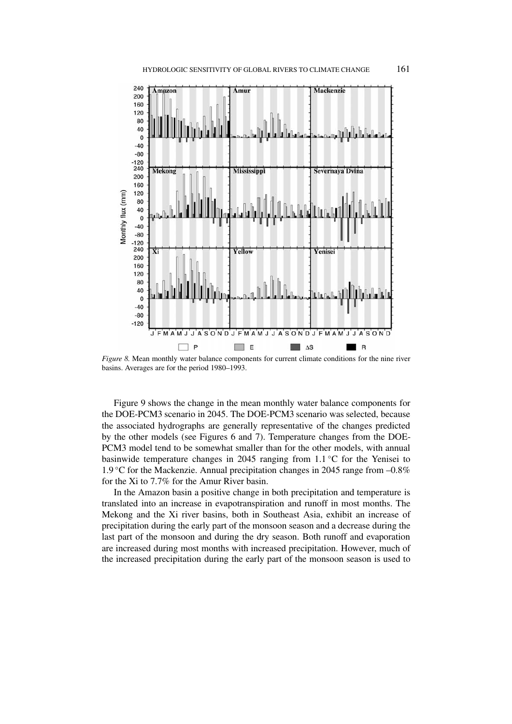

*Figure 8.* Mean monthly water balance components for current climate conditions for the nine river basins. Averages are for the period 1980–1993.

Figure 9 shows the change in the mean monthly water balance components for the DOE-PCM3 scenario in 2045. The DOE-PCM3 scenario was selected, because the associated hydrographs are generally representative of the changes predicted by the other models (see Figures 6 and 7). Temperature changes from the DOE-PCM3 model tend to be somewhat smaller than for the other models, with annual basinwide temperature changes in 2045 ranging from 1.1 ◦C for the Yenisei to 1.9 °C for the Mackenzie. Annual precipitation changes in 2045 range from  $-0.8\%$ for the Xi to 7.7% for the Amur River basin.

In the Amazon basin a positive change in both precipitation and temperature is translated into an increase in evapotranspiration and runoff in most months. The Mekong and the Xi river basins, both in Southeast Asia, exhibit an increase of precipitation during the early part of the monsoon season and a decrease during the last part of the monsoon and during the dry season. Both runoff and evaporation are increased during most months with increased precipitation. However, much of the increased precipitation during the early part of the monsoon season is used to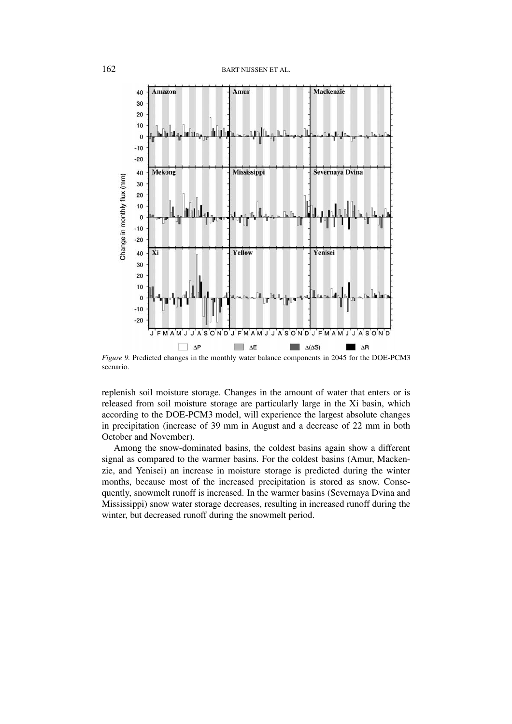

*Figure 9.* Predicted changes in the monthly water balance components in 2045 for the DOE-PCM3 scenario.

replenish soil moisture storage. Changes in the amount of water that enters or is released from soil moisture storage are particularly large in the Xi basin, which according to the DOE-PCM3 model, will experience the largest absolute changes in precipitation (increase of 39 mm in August and a decrease of 22 mm in both October and November).

Among the snow-dominated basins, the coldest basins again show a different signal as compared to the warmer basins. For the coldest basins (Amur, Mackenzie, and Yenisei) an increase in moisture storage is predicted during the winter months, because most of the increased precipitation is stored as snow. Consequently, snowmelt runoff is increased. In the warmer basins (Severnaya Dvina and Mississippi) snow water storage decreases, resulting in increased runoff during the winter, but decreased runoff during the snowmelt period.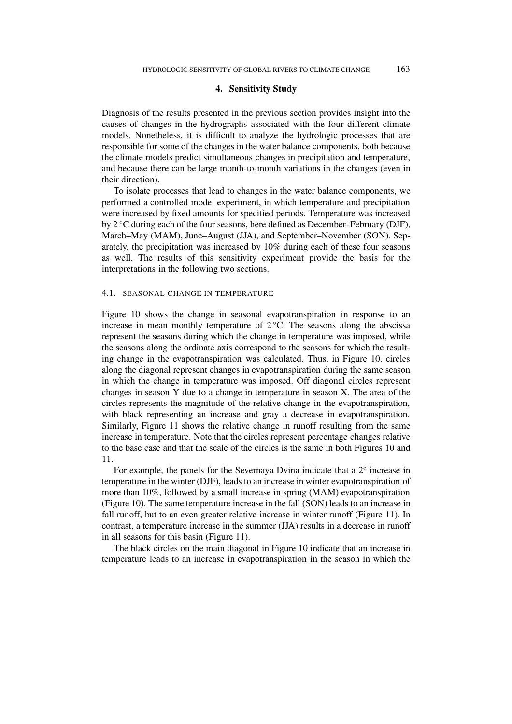## **4. Sensitivity Study**

Diagnosis of the results presented in the previous section provides insight into the causes of changes in the hydrographs associated with the four different climate models. Nonetheless, it is difficult to analyze the hydrologic processes that are responsible for some of the changes in the water balance components, both because the climate models predict simultaneous changes in precipitation and temperature, and because there can be large month-to-month variations in the changes (even in their direction).

To isolate processes that lead to changes in the water balance components, we performed a controlled model experiment, in which temperature and precipitation were increased by fixed amounts for specified periods. Temperature was increased by 2 ◦C during each of the four seasons, here defined as December–February (DJF), March–May (MAM), June–August (JJA), and September–November (SON). Separately, the precipitation was increased by 10% during each of these four seasons as well. The results of this sensitivity experiment provide the basis for the interpretations in the following two sections.

### 4.1. SEASONAL CHANGE IN TEMPERATURE

Figure 10 shows the change in seasonal evapotranspiration in response to an increase in mean monthly temperature of  $2^{\circ}$ C. The seasons along the abscissa represent the seasons during which the change in temperature was imposed, while the seasons along the ordinate axis correspond to the seasons for which the resulting change in the evapotranspiration was calculated. Thus, in Figure 10, circles along the diagonal represent changes in evapotranspiration during the same season in which the change in temperature was imposed. Off diagonal circles represent changes in season Y due to a change in temperature in season X. The area of the circles represents the magnitude of the relative change in the evapotranspiration, with black representing an increase and gray a decrease in evapotranspiration. Similarly, Figure 11 shows the relative change in runoff resulting from the same increase in temperature. Note that the circles represent percentage changes relative to the base case and that the scale of the circles is the same in both Figures 10 and 11.

For example, the panels for the Severnaya Dvina indicate that a 2◦ increase in temperature in the winter (DJF), leads to an increase in winter evapotranspiration of more than 10%, followed by a small increase in spring (MAM) evapotranspiration (Figure 10). The same temperature increase in the fall (SON) leads to an increase in fall runoff, but to an even greater relative increase in winter runoff (Figure 11). In contrast, a temperature increase in the summer (JJA) results in a decrease in runoff in all seasons for this basin (Figure 11).

The black circles on the main diagonal in Figure 10 indicate that an increase in temperature leads to an increase in evapotranspiration in the season in which the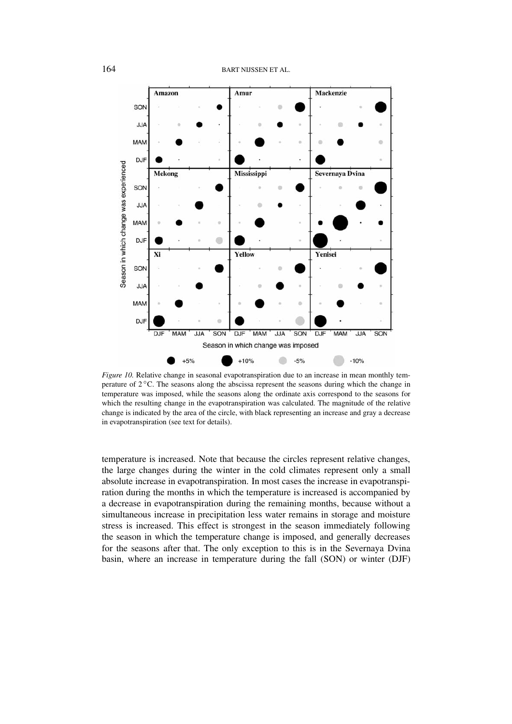

*Figure 10.* Relative change in seasonal evapotranspiration due to an increase in mean monthly temperature of 2 °C. The seasons along the abscissa represent the seasons during which the change in temperature was imposed, while the seasons along the ordinate axis correspond to the seasons for which the resulting change in the evapotranspiration was calculated. The magnitude of the relative change is indicated by the area of the circle, with black representing an increase and gray a decrease in evapotranspiration (see text for details).

temperature is increased. Note that because the circles represent relative changes, the large changes during the winter in the cold climates represent only a small absolute increase in evapotranspiration. In most cases the increase in evapotranspiration during the months in which the temperature is increased is accompanied by a decrease in evapotranspiration during the remaining months, because without a simultaneous increase in precipitation less water remains in storage and moisture stress is increased. This effect is strongest in the season immediately following the season in which the temperature change is imposed, and generally decreases for the seasons after that. The only exception to this is in the Severnaya Dvina basin, where an increase in temperature during the fall (SON) or winter (DJF)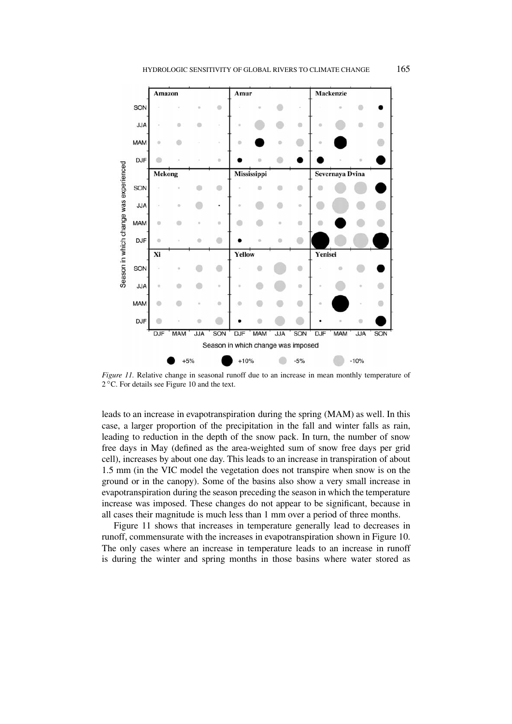

*Figure 11.* Relative change in seasonal runoff due to an increase in mean monthly temperature of 2 °C. For details see Figure 10 and the text.

leads to an increase in evapotranspiration during the spring (MAM) as well. In this case, a larger proportion of the precipitation in the fall and winter falls as rain, leading to reduction in the depth of the snow pack. In turn, the number of snow free days in May (defined as the area-weighted sum of snow free days per grid cell), increases by about one day. This leads to an increase in transpiration of about 1.5 mm (in the VIC model the vegetation does not transpire when snow is on the ground or in the canopy). Some of the basins also show a very small increase in evapotranspiration during the season preceding the season in which the temperature increase was imposed. These changes do not appear to be significant, because in all cases their magnitude is much less than 1 mm over a period of three months.

Figure 11 shows that increases in temperature generally lead to decreases in runoff, commensurate with the increases in evapotranspiration shown in Figure 10. The only cases where an increase in temperature leads to an increase in runoff is during the winter and spring months in those basins where water stored as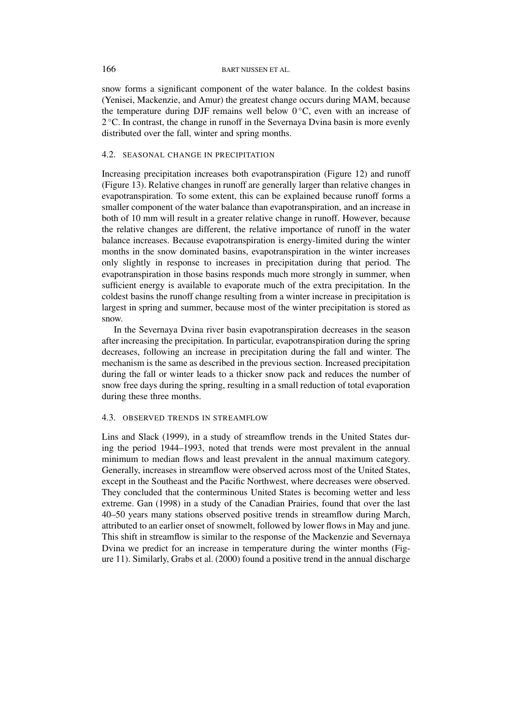snow forms a significant component of the water balance. In the coldest basins (Yenisei, Mackenzie, and Amur) the greatest change occurs during MAM, because the temperature during DJF remains well below  $0^{\circ}$ C, even with an increase of 2 ◦C. In contrast, the change in runoff in the Severnaya Dvina basin is more evenly distributed over the fall, winter and spring months.

## 4.2. SEASONAL CHANGE IN PRECIPITATION

Increasing precipitation increases both evapotranspiration (Figure 12) and runoff (Figure 13). Relative changes in runoff are generally larger than relative changes in evapotranspiration. To some extent, this can be explained because runoff forms a smaller component of the water balance than evapotranspiration, and an increase in both of 10 mm will result in a greater relative change in runoff. However, because the relative changes are different, the relative importance of runoff in the water balance increases. Because evapotranspiration is energy-limited during the winter months in the snow dominated basins, evapotranspiration in the winter increases only slightly in response to increases in precipitation during that period. The evapotranspiration in those basins responds much more strongly in summer, when sufficient energy is available to evaporate much of the extra precipitation. In the coldest basins the runoff change resulting from a winter increase in precipitation is largest in spring and summer, because most of the winter precipitation is stored as snow.

In the Severnaya Dvina river basin evapotranspiration decreases in the season after increasing the precipitation. In particular, evapotranspiration during the spring decreases, following an increase in precipitation during the fall and winter. The mechanism is the same as described in the previous section. Increased precipitation during the fall or winter leads to a thicker snow pack and reduces the number of snow free days during the spring, resulting in a small reduction of total evaporation during these three months.

## 4.3. OBSERVED TRENDS IN STREAMFLOW

Lins and Slack (1999), in a study of streamflow trends in the United States during the period 1944–1993, noted that trends were most prevalent in the annual minimum to median flows and least prevalent in the annual maximum category. Generally, increases in streamflow were observed across most of the United States, except in the Southeast and the Pacific Northwest, where decreases were observed. They concluded that the conterminous United States is becoming wetter and less extreme. Gan (1998) in a study of the Canadian Prairies, found that over the last 40–50 years many stations observed positive trends in streamflow during March, attributed to an earlier onset of snowmelt, followed by lower flows in May and june. This shift in streamflow is similar to the response of the Mackenzie and Severnaya Dvina we predict for an increase in temperature during the winter months (Figure 11). Similarly, Grabs et al. (2000) found a positive trend in the annual discharge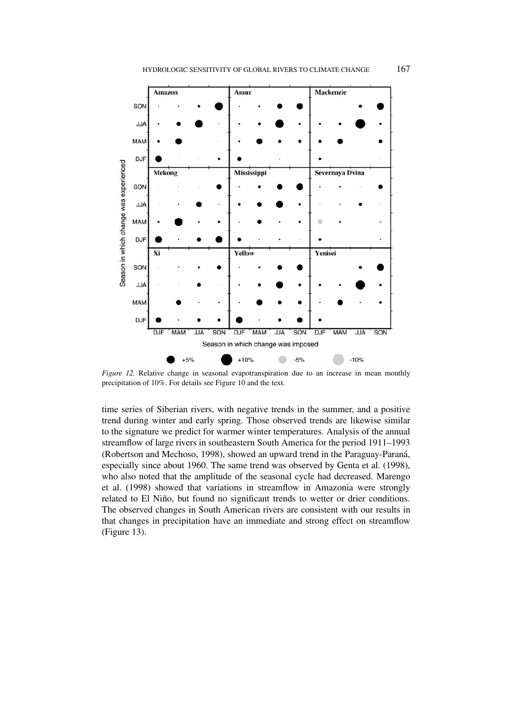

*Figure 12.* Relative change in seasonal evapotranspiration due to an increase in mean monthly precipitation of 10%. For details see Figure 10 and the text.

time series of Siberian rivers, with negative trends in the summer, and a positive trend during winter and early spring. Those observed trends are likewise similar to the signature we predict for warmer winter temperatures. Analysis of the annual streamflow of large rivers in southeastern South America for the period 1911–1993 (Robertson and Mechoso, 1998), showed an upward trend in the Paraguay-Paraná, especially since about 1960. The same trend was observed by Genta et al. (1998), who also noted that the amplitude of the seasonal cycle had decreased. Marengo et al. (1998) showed that variations in streamflow in Amazonia were strongly related to El Niño, but found no significant trends to wetter or drier conditions. The observed changes in South American rivers are consistent with our results in that changes in precipitation have an immediate and strong effect on streamflow (Figure 13).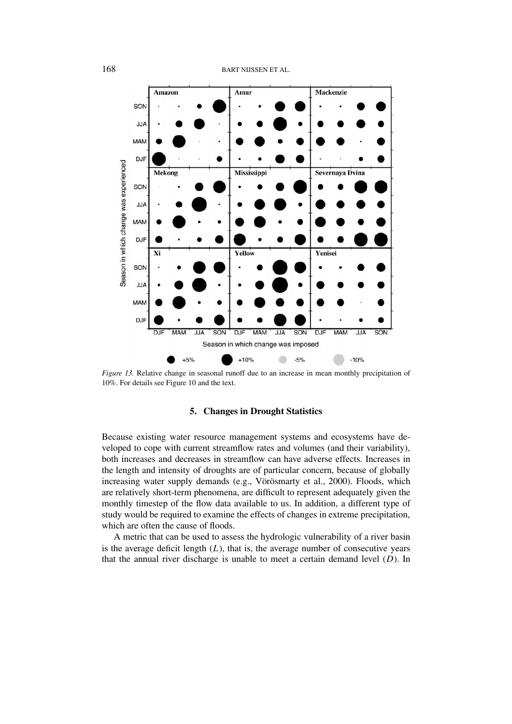

*Figure 13.* Relative change in seasonal runoff due to an increase in mean monthly precipitation of 10%. For details see Figure 10 and the text.

# **5. Changes in Drought Statistics**

Because existing water resource management systems and ecosystems have developed to cope with current streamflow rates and volumes (and their variability), both increases and decreases in streamflow can have adverse effects. Increases in the length and intensity of droughts are of particular concern, because of globally increasing water supply demands (e.g., Vörösmarty et al., 2000). Floods, which are relatively short-term phenomena, are difficult to represent adequately given the monthly timestep of the flow data available to us. In addition, a different type of study would be required to examine the effects of changes in extreme precipitation, which are often the cause of floods.

A metric that can be used to assess the hydrologic vulnerability of a river basin is the average deficit length  $(L)$ , that is, the average number of consecutive years that the annual river discharge is unable to meet a certain demand level (*D*). In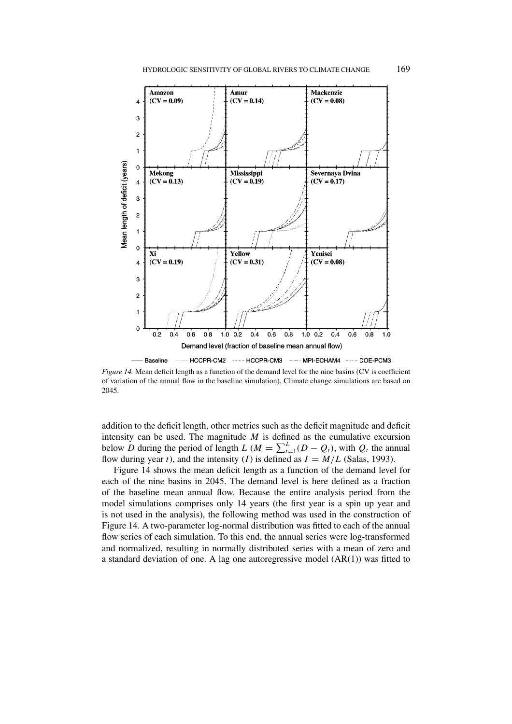

*Figure 14.* Mean deficit length as a function of the demand level for the nine basins (CV is coefficient of variation of the annual flow in the baseline simulation). Climate change simulations are based on 2045.

addition to the deficit length, other metrics such as the deficit magnitude and deficit intensity can be used. The magnitude *M* is defined as the cumulative excursion below *D* during the period of length  $L(M = \sum_{t=1}^{L} (D - Q_t)$ , with  $Q_t$  the annual flow during year *t*), and the intensity (*I*) is defined as  $I = M/L$  (Salas, 1993).

Figure 14 shows the mean deficit length as a function of the demand level for each of the nine basins in 2045. The demand level is here defined as a fraction of the baseline mean annual flow. Because the entire analysis period from the model simulations comprises only 14 years (the first year is a spin up year and is not used in the analysis), the following method was used in the construction of Figure 14. A two-parameter log-normal distribution was fitted to each of the annual flow series of each simulation. To this end, the annual series were log-transformed and normalized, resulting in normally distributed series with a mean of zero and a standard deviation of one. A lag one autoregressive model (AR(1)) was fitted to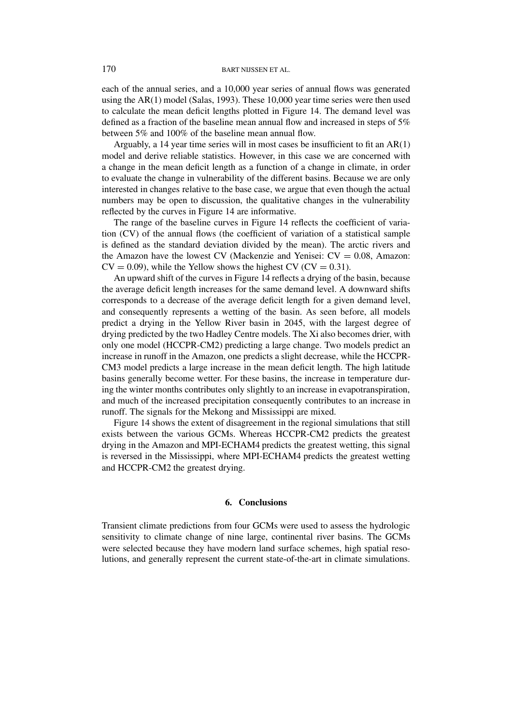each of the annual series, and a 10,000 year series of annual flows was generated using the AR(1) model (Salas, 1993). These 10,000 year time series were then used to calculate the mean deficit lengths plotted in Figure 14. The demand level was defined as a fraction of the baseline mean annual flow and increased in steps of 5% between 5% and 100% of the baseline mean annual flow.

Arguably, a 14 year time series will in most cases be insufficient to fit an AR(1) model and derive reliable statistics. However, in this case we are concerned with a change in the mean deficit length as a function of a change in climate, in order to evaluate the change in vulnerability of the different basins. Because we are only interested in changes relative to the base case, we argue that even though the actual numbers may be open to discussion, the qualitative changes in the vulnerability reflected by the curves in Figure 14 are informative.

The range of the baseline curves in Figure 14 reflects the coefficient of variation (CV) of the annual flows (the coefficient of variation of a statistical sample is defined as the standard deviation divided by the mean). The arctic rivers and the Amazon have the lowest CV (Mackenzie and Yenisei:  $CV = 0.08$ , Amazon:  $CV = 0.09$ , while the Yellow shows the highest CV (CV = 0.31).

An upward shift of the curves in Figure 14 reflects a drying of the basin, because the average deficit length increases for the same demand level. A downward shifts corresponds to a decrease of the average deficit length for a given demand level, and consequently represents a wetting of the basin. As seen before, all models predict a drying in the Yellow River basin in 2045, with the largest degree of drying predicted by the two Hadley Centre models. The Xi also becomes drier, with only one model (HCCPR-CM2) predicting a large change. Two models predict an increase in runoff in the Amazon, one predicts a slight decrease, while the HCCPR-CM3 model predicts a large increase in the mean deficit length. The high latitude basins generally become wetter. For these basins, the increase in temperature during the winter months contributes only slightly to an increase in evapotranspiration, and much of the increased precipitation consequently contributes to an increase in runoff. The signals for the Mekong and Mississippi are mixed.

Figure 14 shows the extent of disagreement in the regional simulations that still exists between the various GCMs. Whereas HCCPR-CM2 predicts the greatest drying in the Amazon and MPI-ECHAM4 predicts the greatest wetting, this signal is reversed in the Mississippi, where MPI-ECHAM4 predicts the greatest wetting and HCCPR-CM2 the greatest drying.

# **6. Conclusions**

Transient climate predictions from four GCMs were used to assess the hydrologic sensitivity to climate change of nine large, continental river basins. The GCMs were selected because they have modern land surface schemes, high spatial resolutions, and generally represent the current state-of-the-art in climate simulations.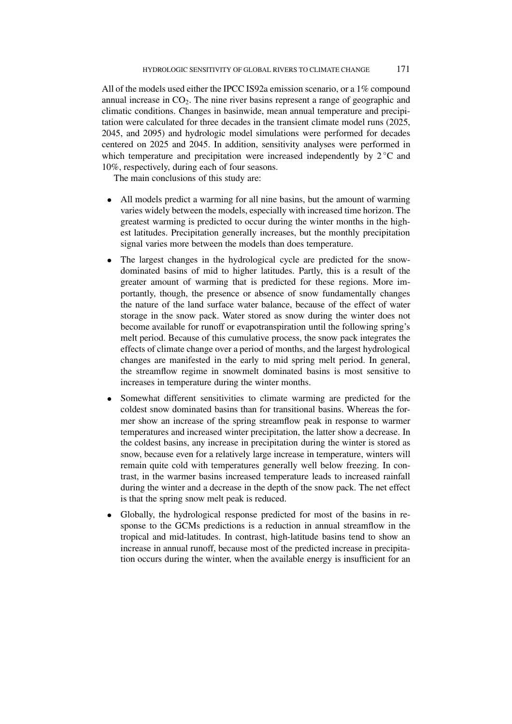All of the models used either the IPCC IS92a emission scenario, or a 1% compound annual increase in  $CO<sub>2</sub>$ . The nine river basins represent a range of geographic and climatic conditions. Changes in basinwide, mean annual temperature and precipitation were calculated for three decades in the transient climate model runs (2025, 2045, and 2095) and hydrologic model simulations were performed for decades centered on 2025 and 2045. In addition, sensitivity analyses were performed in which temperature and precipitation were increased independently by  $2^{\circ}$ C and 10%, respectively, during each of four seasons.

The main conclusions of this study are:

- All models predict a warming for all nine basins, but the amount of warming varies widely between the models, especially with increased time horizon. The greatest warming is predicted to occur during the winter months in the highest latitudes. Precipitation generally increases, but the monthly precipitation signal varies more between the models than does temperature.
- The largest changes in the hydrological cycle are predicted for the snowdominated basins of mid to higher latitudes. Partly, this is a result of the greater amount of warming that is predicted for these regions. More importantly, though, the presence or absence of snow fundamentally changes the nature of the land surface water balance, because of the effect of water storage in the snow pack. Water stored as snow during the winter does not become available for runoff or evapotranspiration until the following spring's melt period. Because of this cumulative process, the snow pack integrates the effects of climate change over a period of months, and the largest hydrological changes are manifested in the early to mid spring melt period. In general, the streamflow regime in snowmelt dominated basins is most sensitive to increases in temperature during the winter months.
- Somewhat different sensitivities to climate warming are predicted for the coldest snow dominated basins than for transitional basins. Whereas the former show an increase of the spring streamflow peak in response to warmer temperatures and increased winter precipitation, the latter show a decrease. In the coldest basins, any increase in precipitation during the winter is stored as snow, because even for a relatively large increase in temperature, winters will remain quite cold with temperatures generally well below freezing. In contrast, in the warmer basins increased temperature leads to increased rainfall during the winter and a decrease in the depth of the snow pack. The net effect is that the spring snow melt peak is reduced.
- Globally, the hydrological response predicted for most of the basins in response to the GCMs predictions is a reduction in annual streamflow in the tropical and mid-latitudes. In contrast, high-latitude basins tend to show an increase in annual runoff, because most of the predicted increase in precipitation occurs during the winter, when the available energy is insufficient for an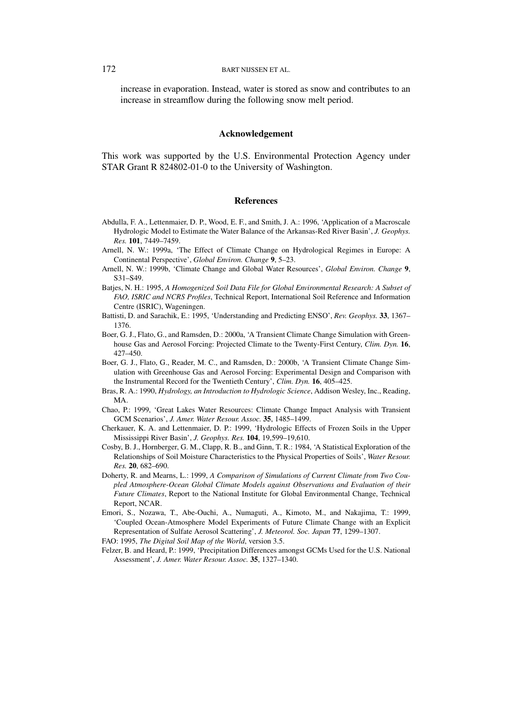#### 172 BART NIJSSEN ET AL.

increase in evaporation. Instead, water is stored as snow and contributes to an increase in streamflow during the following snow melt period.

#### **Acknowledgement**

This work was supported by the U.S. Environmental Protection Agency under STAR Grant R 824802-01-0 to the University of Washington.

### **References**

- Abdulla, F. A., Lettenmaier, D. P., Wood, E. F., and Smith, J. A.: 1996, 'Application of a Macroscale Hydrologic Model to Estimate the Water Balance of the Arkansas-Red River Basin', *J. Geophys. Res.* **101**, 7449–7459.
- Arnell, N. W.: 1999a, 'The Effect of Climate Change on Hydrological Regimes in Europe: A Continental Perspective', *Global Environ. Change* **9**, 5–23.
- Arnell, N. W.: 1999b, 'Climate Change and Global Water Resources', *Global Environ. Change* **9**, S31–S49.
- Batjes, N. H.: 1995, *A Homogenized Soil Data File for Global Environmental Research: A Subset of FAO, ISRIC and NCRS Profiles*, Technical Report, International Soil Reference and Information Centre (ISRIC), Wageningen.
- Battisti, D. and Sarachik, E.: 1995, 'Understanding and Predicting ENSO', *Rev. Geophys.* **33**, 1367– 1376.
- Boer, G. J., Flato, G., and Ramsden, D.: 2000a, 'A Transient Climate Change Simulation with Greenhouse Gas and Aerosol Forcing: Projected Climate to the Twenty-First Century, *Clim. Dyn.* **16**, 427–450.
- Boer, G. J., Flato, G., Reader, M. C., and Ramsden, D.: 2000b, 'A Transient Climate Change Simulation with Greenhouse Gas and Aerosol Forcing: Experimental Design and Comparison with the Instrumental Record for the Twentieth Century', *Clim. Dyn.* **16**, 405–425.
- Bras, R. A.: 1990, *Hydrology, an Introduction to Hydrologic Science*, Addison Wesley, Inc., Reading, MA.
- Chao, P.: 1999, 'Great Lakes Water Resources: Climate Change Impact Analysis with Transient GCM Scenarios', *J. Amer. Water Resour. Assoc.* **35**, 1485–1499.
- Cherkauer, K. A. and Lettenmaier, D. P.: 1999, 'Hydrologic Effects of Frozen Soils in the Upper Mississippi River Basin', *J. Geophys. Res.* **104**, 19,599–19,610.
- Cosby, B. J., Hornberger, G. M., Clapp, R. B., and Ginn, T. R.: 1984, 'A Statistical Exploration of the Relationships of Soil Moisture Characteristics to the Physical Properties of Soils', *Water Resour. Res.* **20**, 682–690.
- Doherty, R. and Mearns, L.: 1999, *A Comparison of Simulations of Current Climate from Two Coupled Atmosphere-Ocean Global Climate Models against Observations and Evaluation of their Future Climates*, Report to the National Institute for Global Environmental Change, Technical Report, NCAR.
- Emori, S., Nozawa, T., Abe-Ouchi, A., Numaguti, A., Kimoto, M., and Nakajima, T.: 1999, 'Coupled Ocean-Atmosphere Model Experiments of Future Climate Change with an Explicit Representation of Sulfate Aerosol Scattering', *J. Meteorol. Soc. Japan* **77**, 1299–1307.

FAO: 1995, *The Digital Soil Map of the World*, version 3.5.

Felzer, B. and Heard, P.: 1999, 'Precipitation Differences amongst GCMs Used for the U.S. National Assessment', *J. Amer. Water Resour. Assoc.* **35**, 1327–1340.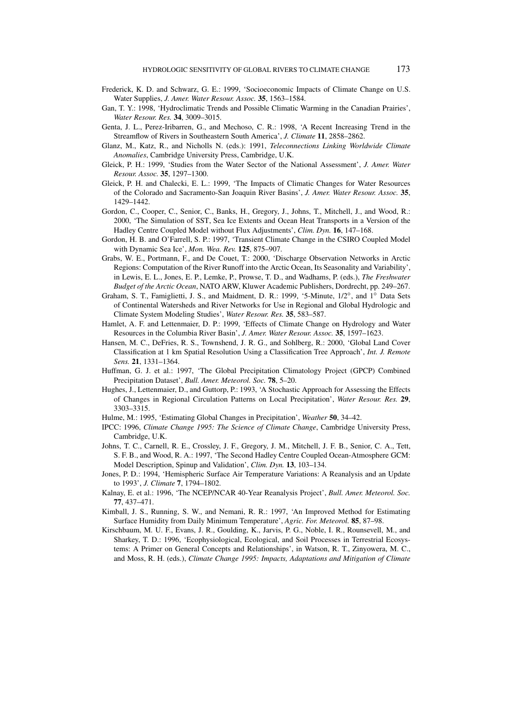- Frederick, K. D. and Schwarz, G. E.: 1999, 'Socioeconomic Impacts of Climate Change on U.S. Water Supplies, *J. Amer. Water Resour. Assoc.* **35**, 1563–1584.
- Gan, T. Y.: 1998, 'Hydroclimatic Trends and Possible Climatic Warming in the Canadian Prairies', *Water Resour. Res.* **34**, 3009–3015.
- Genta, J. L., Perez-Iribarren, G., and Mechoso, C. R.: 1998, 'A Recent Increasing Trend in the Streamflow of Rivers in Southeastern South America', *J. Climate* **11**, 2858–2862.
- Glanz, M., Katz, R., and Nicholls N. (eds.): 1991, *Teleconnections Linking Worldwide Climate Anomalies*, Cambridge University Press, Cambridge, U.K.
- Gleick, P. H.: 1999, 'Studies from the Water Sector of the National Assessment', *J. Amer. Water Resour. Assoc.* **35**, 1297–1300.
- Gleick, P. H. and Chalecki, E. L.: 1999, 'The Impacts of Climatic Changes for Water Resources of the Colorado and Sacramento-San Joaquin River Basins', *J. Amer. Water Resour. Assoc.* **35**, 1429–1442.
- Gordon, C., Cooper, C., Senior, C., Banks, H., Gregory, J., Johns, T., Mitchell, J., and Wood, R.: 2000, 'The Simulation of SST, Sea Ice Extents and Ocean Heat Transports in a Version of the Hadley Centre Coupled Model without Flux Adjustments', *Clim. Dyn.* **16**, 147–168.
- Gordon, H. B. and O'Farrell, S. P.: 1997, 'Transient Climate Change in the CSIRO Coupled Model with Dynamic Sea Ice', *Mon. Wea. Rev.* **125**, 875–907.
- Grabs, W. E., Portmann, F., and De Couet, T.: 2000, 'Discharge Observation Networks in Arctic Regions: Computation of the River Runoff into the Arctic Ocean, Its Seasonality and Variability', in Lewis, E. L., Jones, E. P., Lemke, P., Prowse, T. D., and Wadhams, P. (eds.), *The Freshwater Budget of the Arctic Ocean*, NATO ARW, Kluwer Academic Publishers, Dordrecht, pp. 249–267.
- Graham, S. T., Famiglietti, J. S., and Maidment, D. R.: 1999, '5-Minute, 1/2◦, and 1◦ Data Sets of Continental Watersheds and River Networks for Use in Regional and Global Hydrologic and Climate System Modeling Studies', *Water Resour. Res.* **35**, 583–587.
- Hamlet, A. F. and Lettenmaier, D. P.: 1999, 'Effects of Climate Change on Hydrology and Water Resources in the Columbia River Basin', *J. Amer. Water Resour. Assoc.* **35**, 1597–1623.
- Hansen, M. C., DeFries, R. S., Townshend, J. R. G., and Sohlberg, R.: 2000, 'Global Land Cover Classification at 1 km Spatial Resolution Using a Classification Tree Approach', *Int. J. Remote Sens.* **21**, 1331–1364.
- Huffman, G. J. et al.: 1997, 'The Global Precipitation Climatology Project (GPCP) Combined Precipitation Dataset', *Bull. Amer. Meteorol. Soc.* **78**, 5–20.
- Hughes, J., Lettenmaier, D., and Guttorp, P.: 1993, 'A Stochastic Approach for Assessing the Effects of Changes in Regional Circulation Patterns on Local Precipitation', *Water Resour. Res.* **29**, 3303–3315.
- Hulme, M.: 1995, 'Estimating Global Changes in Precipitation', *Weather* **50**, 34–42.
- IPCC: 1996, *Climate Change 1995: The Science of Climate Change*, Cambridge University Press, Cambridge, U.K.
- Johns, T. C., Carnell, R. E., Crossley, J. F., Gregory, J. M., Mitchell, J. F. B., Senior, C. A., Tett, S. F. B., and Wood, R. A.: 1997, 'The Second Hadley Centre Coupled Ocean-Atmosphere GCM: Model Description, Spinup and Validation', *Clim. Dyn.* **13**, 103–134.
- Jones, P. D.: 1994, 'Hemispheric Surface Air Temperature Variations: A Reanalysis and an Update to 1993', *J. Climate* **7**, 1794–1802.
- Kalnay, E. et al.: 1996, 'The NCEP/NCAR 40-Year Reanalysis Project', *Bull. Amer. Meteorol. Soc.* **77**, 437–471.
- Kimball, J. S., Running, S. W., and Nemani, R. R.: 1997, 'An Improved Method for Estimating Surface Humidity from Daily Minimum Temperature', *Agric. For. Meteorol.* **85**, 87–98.
- Kirschbaum, M. U. F., Evans, J. R., Goulding, K., Jarvis, P. G., Noble, I. R., Rounsevell, M., and Sharkey, T. D.: 1996, 'Ecophysiological, Ecological, and Soil Processes in Terrestrial Ecosystems: A Primer on General Concepts and Relationships', in Watson, R. T., Zinyowera, M. C., and Moss, R. H. (eds.), *Climate Change 1995: Impacts, Adaptations and Mitigation of Climate*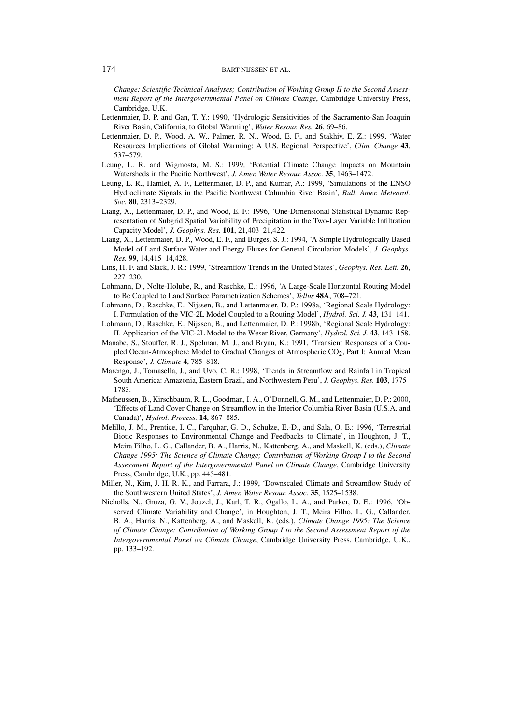#### 174 BART NIJSSEN ET AL.

*Change: Scientific-Technical Analyses; Contribution of Working Group II to the Second Assessment Report of the Intergovernmental Panel on Climate Change*, Cambridge University Press, Cambridge, U.K.

- Lettenmaier, D. P. and Gan, T. Y.: 1990, 'Hydrologic Sensitivities of the Sacramento-San Joaquin River Basin, California, to Global Warming', *Water Resour. Res.* **26**, 69–86.
- Lettenmaier, D. P., Wood, A. W., Palmer, R. N., Wood, E. F., and Stakhiv, E. Z.: 1999, 'Water Resources Implications of Global Warming: A U.S. Regional Perspective', *Clim. Change* **43**, 537–579.
- Leung, L. R. and Wigmosta, M. S.: 1999, 'Potential Climate Change Impacts on Mountain Watersheds in the Pacific Northwest', *J. Amer. Water Resour. Assoc.* **35**, 1463–1472.
- Leung, L. R., Hamlet, A. F., Lettenmaier, D. P., and Kumar, A.: 1999, 'Simulations of the ENSO Hydroclimate Signals in the Pacific Northwest Columbia River Basin', *Bull. Amer. Meteorol. Soc.* **80**, 2313–2329.
- Liang, X., Lettenmaier, D. P., and Wood, E. F.: 1996, 'One-Dimensional Statistical Dynamic Representation of Subgrid Spatial Variability of Precipitation in the Two-Layer Variable Infiltration Capacity Model', *J. Geophys. Res.* **101**, 21,403–21,422.
- Liang, X., Lettenmaier, D. P., Wood, E. F., and Burges, S. J.: 1994, 'A Simple Hydrologically Based Model of Land Surface Water and Energy Fluxes for General Circulation Models', *J. Geophys. Res.* **99**, 14,415–14,428.
- Lins, H. F. and Slack, J. R.: 1999, 'Streamflow Trends in the United States', *Geophys. Res. Lett.* **26**, 227–230.
- Lohmann, D., Nolte-Holube, R., and Raschke, E.: 1996, 'A Large-Scale Horizontal Routing Model to Be Coupled to Land Surface Parametrization Schemes', *Tellus* **48A**, 708–721.
- Lohmann, D., Raschke, E., Nijssen, B., and Lettenmaier, D. P.: 1998a, 'Regional Scale Hydrology: I. Formulation of the VIC-2L Model Coupled to a Routing Model', *Hydrol. Sci. J.* **43**, 131–141.
- Lohmann, D., Raschke, E., Nijssen, B., and Lettenmaier, D. P.: 1998b, 'Regional Scale Hydrology: II. Application of the VIC-2L Model to the Weser River, Germany', *Hydrol. Sci. J.* **43**, 143–158.
- Manabe, S., Stouffer, R. J., Spelman, M. J., and Bryan, K.: 1991, 'Transient Responses of a Coupled Ocean-Atmosphere Model to Gradual Changes of Atmospheric  $CO<sub>2</sub>$ , Part I: Annual Mean Response', *J. Climate* **4**, 785–818.
- Marengo, J., Tomasella, J., and Uvo, C. R.: 1998, 'Trends in Streamflow and Rainfall in Tropical South America: Amazonia, Eastern Brazil, and Northwestern Peru', *J. Geophys. Res.* **103**, 1775– 1783.
- Matheussen, B., Kirschbaum, R. L., Goodman, I. A., O'Donnell, G. M., and Lettenmaier, D. P.: 2000, 'Effects of Land Cover Change on Streamflow in the Interior Columbia River Basin (U.S.A. and Canada)', *Hydrol. Process.* **14**, 867–885.
- Melillo, J. M., Prentice, I. C., Farquhar, G. D., Schulze, E.-D., and Sala, O. E.: 1996, 'Terrestrial Biotic Responses to Environmental Change and Feedbacks to Climate', in Houghton, J. T., Meira Filho, L. G., Callander, B. A., Harris, N., Kattenberg, A., and Maskell, K. (eds.), *Climate Change 1995: The Science of Climate Change; Contribution of Working Group I to the Second Assessment Report of the Intergovernmental Panel on Climate Change*, Cambridge University Press, Cambridge, U.K., pp. 445–481.
- Miller, N., Kim, J. H. R. K., and Farrara, J.: 1999, 'Downscaled Climate and Streamflow Study of the Southwestern United States', *J. Amer. Water Resour. Assoc.* **35**, 1525–1538.
- Nicholls, N., Gruza, G. V., Jouzel, J., Karl, T. R., Ogallo, L. A., and Parker, D. E.: 1996, 'Observed Climate Variability and Change', in Houghton, J. T., Meira Filho, L. G., Callander, B. A., Harris, N., Kattenberg, A., and Maskell, K. (eds.), *Climate Change 1995: The Science of Climate Change; Contribution of Working Group I to the Second Assessment Report of the Intergovernmental Panel on Climate Change*, Cambridge University Press, Cambridge, U.K., pp. 133–192.